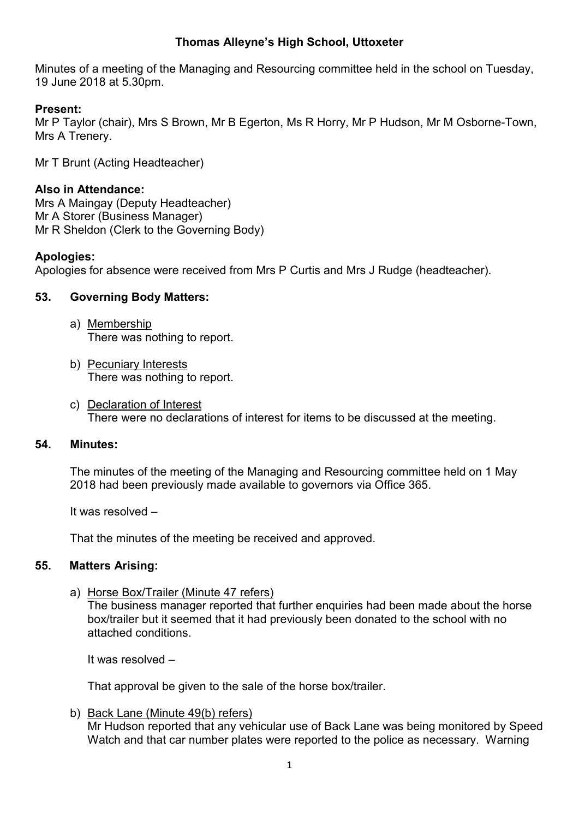# **Thomas Alleyne's High School, Uttoxeter**

Minutes of a meeting of the Managing and Resourcing committee held in the school on Tuesday, 19 June 2018 at 5.30pm.

## **Present:**

Mr P Taylor (chair), Mrs S Brown, Mr B Egerton, Ms R Horry, Mr P Hudson, Mr M Osborne-Town, Mrs A Trenery.

Mr T Brunt (Acting Headteacher)

## **Also in Attendance:**

Mrs A Maingay (Deputy Headteacher) Mr A Storer (Business Manager) Mr R Sheldon (Clerk to the Governing Body)

### **Apologies:**

Apologies for absence were received from Mrs P Curtis and Mrs J Rudge (headteacher).

## **53. Governing Body Matters:**

- a) Membership There was nothing to report.
- b) Pecuniary Interests There was nothing to report.
- c) Declaration of Interest There were no declarations of interest for items to be discussed at the meeting.

## **54. Minutes:**

The minutes of the meeting of the Managing and Resourcing committee held on 1 May 2018 had been previously made available to governors via Office 365.

It was resolved –

That the minutes of the meeting be received and approved.

## **55. Matters Arising:**

a) Horse Box/Trailer (Minute 47 refers)

The business manager reported that further enquiries had been made about the horse box/trailer but it seemed that it had previously been donated to the school with no attached conditions.

It was resolved –

That approval be given to the sale of the horse box/trailer.

b) Back Lane (Minute 49(b) refers) Mr Hudson reported that any vehicular use of Back Lane was being monitored by Speed Watch and that car number plates were reported to the police as necessary. Warning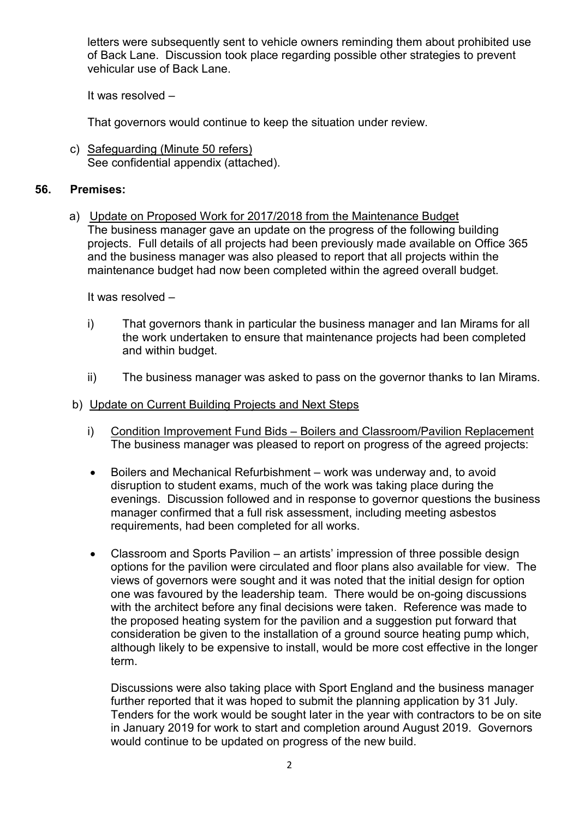letters were subsequently sent to vehicle owners reminding them about prohibited use of Back Lane. Discussion took place regarding possible other strategies to prevent vehicular use of Back Lane.

It was resolved –

That governors would continue to keep the situation under review.

c) Safeguarding (Minute 50 refers) See confidential appendix (attached).

## **56. Premises:**

a) Update on Proposed Work for 2017/2018 from the Maintenance Budget The business manager gave an update on the progress of the following building projects. Full details of all projects had been previously made available on Office 365 and the business manager was also pleased to report that all projects within the maintenance budget had now been completed within the agreed overall budget.

It was resolved –

- i) That governors thank in particular the business manager and Ian Mirams for all the work undertaken to ensure that maintenance projects had been completed and within budget.
- ii) The business manager was asked to pass on the governor thanks to Ian Mirams.

## b) Update on Current Building Projects and Next Steps

- i) Condition Improvement Fund Bids Boilers and Classroom/Pavilion Replacement The business manager was pleased to report on progress of the agreed projects:
- Boilers and Mechanical Refurbishment work was underway and, to avoid disruption to student exams, much of the work was taking place during the evenings. Discussion followed and in response to governor questions the business manager confirmed that a full risk assessment, including meeting asbestos requirements, had been completed for all works.
- Classroom and Sports Pavilion an artists' impression of three possible design options for the pavilion were circulated and floor plans also available for view. The views of governors were sought and it was noted that the initial design for option one was favoured by the leadership team. There would be on-going discussions with the architect before any final decisions were taken. Reference was made to the proposed heating system for the pavilion and a suggestion put forward that consideration be given to the installation of a ground source heating pump which, although likely to be expensive to install, would be more cost effective in the longer term.

Discussions were also taking place with Sport England and the business manager further reported that it was hoped to submit the planning application by 31 July. Tenders for the work would be sought later in the year with contractors to be on site in January 2019 for work to start and completion around August 2019. Governors would continue to be updated on progress of the new build.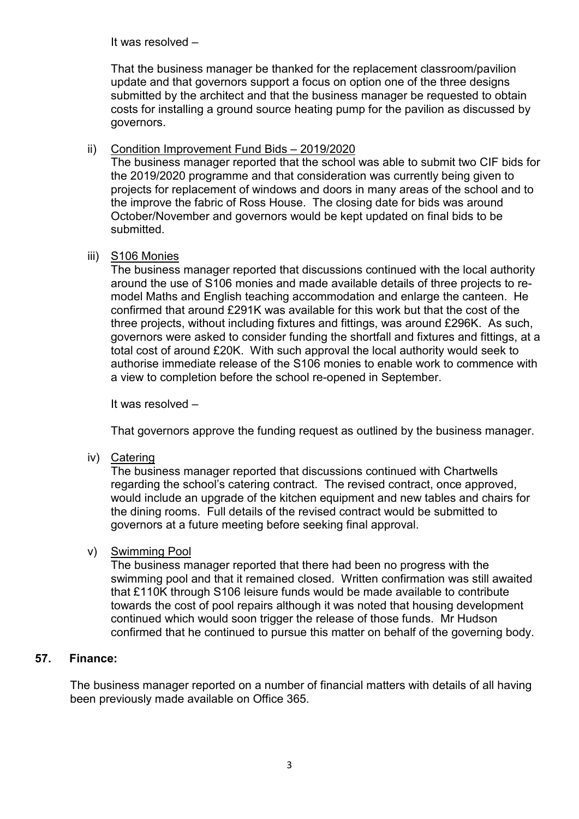It was resolved –

That the business manager be thanked for the replacement classroom/pavilion update and that governors support a focus on option one of the three designs submitted by the architect and that the business manager be requested to obtain costs for installing a ground source heating pump for the pavilion as discussed by governors.

# ii) Condition Improvement Fund Bids – 2019/2020

The business manager reported that the school was able to submit two CIF bids for the 2019/2020 programme and that consideration was currently being given to projects for replacement of windows and doors in many areas of the school and to the improve the fabric of Ross House. The closing date for bids was around October/November and governors would be kept updated on final bids to be submitted.

## iii) S106 Monies

The business manager reported that discussions continued with the local authority around the use of S106 monies and made available details of three projects to remodel Maths and English teaching accommodation and enlarge the canteen. He confirmed that around £291K was available for this work but that the cost of the three projects, without including fixtures and fittings, was around £296K. As such, governors were asked to consider funding the shortfall and fixtures and fittings, at a total cost of around £20K. With such approval the local authority would seek to authorise immediate release of the S106 monies to enable work to commence with a view to completion before the school re-opened in September.

It was resolved –

That governors approve the funding request as outlined by the business manager.

iv) Catering

The business manager reported that discussions continued with Chartwells regarding the school's catering contract. The revised contract, once approved, would include an upgrade of the kitchen equipment and new tables and chairs for the dining rooms. Full details of the revised contract would be submitted to governors at a future meeting before seeking final approval.

# v) Swimming Pool

The business manager reported that there had been no progress with the swimming pool and that it remained closed. Written confirmation was still awaited that £110K through S106 leisure funds would be made available to contribute towards the cost of pool repairs although it was noted that housing development continued which would soon trigger the release of those funds. Mr Hudson confirmed that he continued to pursue this matter on behalf of the governing body.

# **57. Finance:**

The business manager reported on a number of financial matters with details of all having been previously made available on Office 365.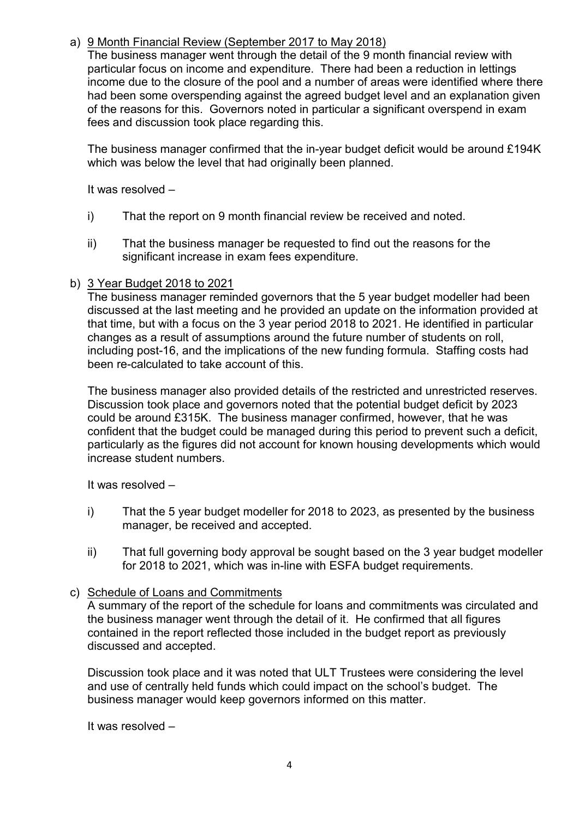# a) 9 Month Financial Review (September 2017 to May 2018)

The business manager went through the detail of the 9 month financial review with particular focus on income and expenditure. There had been a reduction in lettings income due to the closure of the pool and a number of areas were identified where there had been some overspending against the agreed budget level and an explanation given of the reasons for this. Governors noted in particular a significant overspend in exam fees and discussion took place regarding this.

The business manager confirmed that the in-year budget deficit would be around £194K which was below the level that had originally been planned.

It was resolved –

- i) That the report on 9 month financial review be received and noted.
- ii) That the business manager be requested to find out the reasons for the significant increase in exam fees expenditure.

## b) 3 Year Budget 2018 to 2021

The business manager reminded governors that the 5 year budget modeller had been discussed at the last meeting and he provided an update on the information provided at that time, but with a focus on the 3 year period 2018 to 2021. He identified in particular changes as a result of assumptions around the future number of students on roll, including post-16, and the implications of the new funding formula. Staffing costs had been re-calculated to take account of this.

The business manager also provided details of the restricted and unrestricted reserves. Discussion took place and governors noted that the potential budget deficit by 2023 could be around £315K. The business manager confirmed, however, that he was confident that the budget could be managed during this period to prevent such a deficit, particularly as the figures did not account for known housing developments which would increase student numbers.

It was resolved –

- i) That the 5 year budget modeller for 2018 to 2023, as presented by the business manager, be received and accepted.
- ii) That full governing body approval be sought based on the 3 year budget modeller for 2018 to 2021, which was in-line with ESFA budget requirements.

# c) Schedule of Loans and Commitments

A summary of the report of the schedule for loans and commitments was circulated and the business manager went through the detail of it. He confirmed that all figures contained in the report reflected those included in the budget report as previously discussed and accepted.

Discussion took place and it was noted that ULT Trustees were considering the level and use of centrally held funds which could impact on the school's budget. The business manager would keep governors informed on this matter.

It was resolved –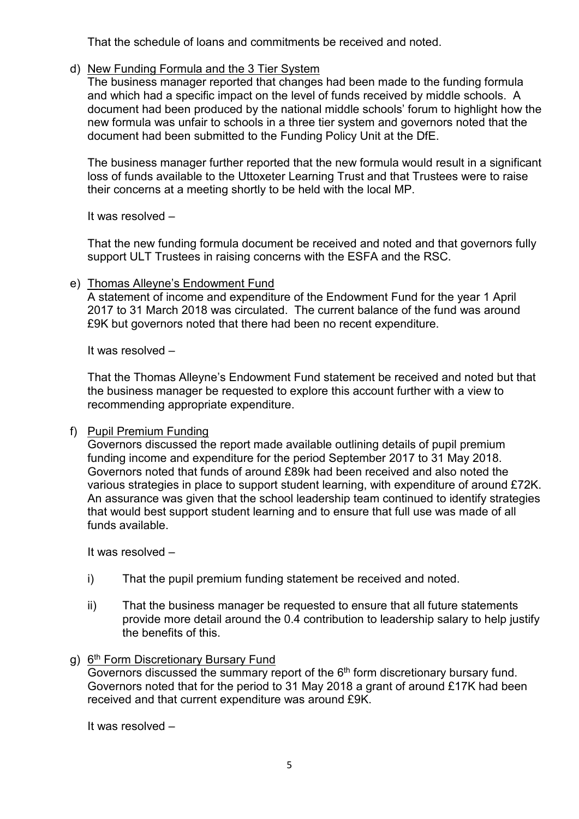That the schedule of loans and commitments be received and noted.

## d) New Funding Formula and the 3 Tier System

The business manager reported that changes had been made to the funding formula and which had a specific impact on the level of funds received by middle schools. A document had been produced by the national middle schools' forum to highlight how the new formula was unfair to schools in a three tier system and governors noted that the document had been submitted to the Funding Policy Unit at the DfE.

The business manager further reported that the new formula would result in a significant loss of funds available to the Uttoxeter Learning Trust and that Trustees were to raise their concerns at a meeting shortly to be held with the local MP.

It was resolved –

That the new funding formula document be received and noted and that governors fully support ULT Trustees in raising concerns with the ESFA and the RSC.

### e) Thomas Alleyne's Endowment Fund

A statement of income and expenditure of the Endowment Fund for the year 1 April 2017 to 31 March 2018 was circulated. The current balance of the fund was around £9K but governors noted that there had been no recent expenditure.

It was resolved –

That the Thomas Alleyne's Endowment Fund statement be received and noted but that the business manager be requested to explore this account further with a view to recommending appropriate expenditure.

## f) Pupil Premium Funding

Governors discussed the report made available outlining details of pupil premium funding income and expenditure for the period September 2017 to 31 May 2018. Governors noted that funds of around £89k had been received and also noted the various strategies in place to support student learning, with expenditure of around £72K. An assurance was given that the school leadership team continued to identify strategies that would best support student learning and to ensure that full use was made of all funds available.

It was resolved –

- i) That the pupil premium funding statement be received and noted.
- ii) That the business manager be requested to ensure that all future statements provide more detail around the 0.4 contribution to leadership salary to help justify the benefits of this.

## g) 6th Form Discretionary Bursary Fund

Governors discussed the summary report of the 6<sup>th</sup> form discretionary bursary fund. Governors noted that for the period to 31 May 2018 a grant of around £17K had been received and that current expenditure was around £9K.

It was resolved –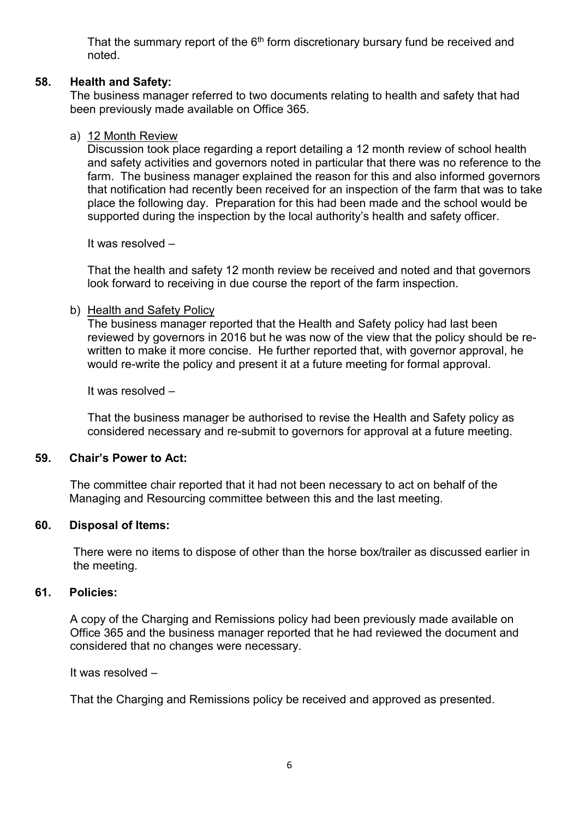That the summary report of the  $6<sup>th</sup>$  form discretionary bursary fund be received and noted.

## **58. Health and Safety:**

The business manager referred to two documents relating to health and safety that had been previously made available on Office 365.

### a) 12 Month Review

Discussion took place regarding a report detailing a 12 month review of school health and safety activities and governors noted in particular that there was no reference to the farm. The business manager explained the reason for this and also informed governors that notification had recently been received for an inspection of the farm that was to take place the following day. Preparation for this had been made and the school would be supported during the inspection by the local authority's health and safety officer.

It was resolved –

That the health and safety 12 month review be received and noted and that governors look forward to receiving in due course the report of the farm inspection.

#### b) Health and Safety Policy

The business manager reported that the Health and Safety policy had last been reviewed by governors in 2016 but he was now of the view that the policy should be rewritten to make it more concise. He further reported that, with governor approval, he would re-write the policy and present it at a future meeting for formal approval.

It was resolved –

That the business manager be authorised to revise the Health and Safety policy as considered necessary and re-submit to governors for approval at a future meeting.

#### **59. Chair's Power to Act:**

The committee chair reported that it had not been necessary to act on behalf of the Managing and Resourcing committee between this and the last meeting.

#### **60. Disposal of Items:**

There were no items to dispose of other than the horse box/trailer as discussed earlier in the meeting.

#### **61. Policies:**

A copy of the Charging and Remissions policy had been previously made available on Office 365 and the business manager reported that he had reviewed the document and considered that no changes were necessary.

It was resolved –

That the Charging and Remissions policy be received and approved as presented.